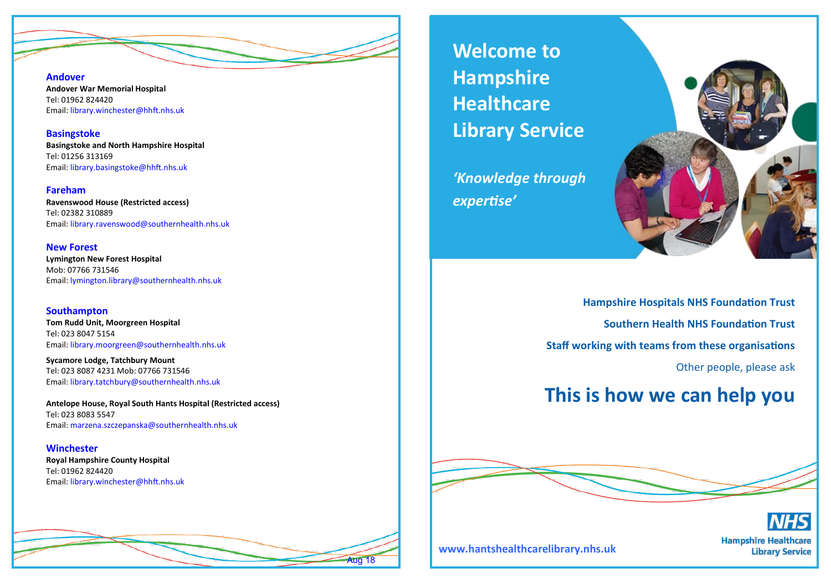**Andover** 

**Andover War Memorial Hospital** Tel: 01962 824420 Email: library.winchester@hhft.nhs.uk

**Basingstoke Basingstoke and North Hampshire Hospital** Tel: 01256 313169 Email: library.basingstoke@hhft.nhs.uk

#### **Fareham**

**Ravenswood House (Restricted access)** Tel: 02382 310889 Email: library.ravenswood@southernhealth.nhs.uk

**New Forest Lymington New Forest Hospital** Mob: 07766 731546 Email: lymington.library@southernhealth.nhs.uk

**Southampton Tom Rudd Unit, Moorgreen Hospital** Tel: 023 8047 5154 Email: library.moorgreen@southernhealth.nhs.uk

**Sycamore Lodge, Tatchbury Mount** Tel: 023 8087 4231 Mob: 07766 731546 Email: library.tatchbury@southernhealth.nhs.uk

**Antelope House, Royal South Hants Hospital (Restricted access)** Tel: 023 8083 5547 Email: marzena.szczepanska@southernhealth.nhs.uk

#### **Winchester**

**Royal Hampshire County Hospital** Tel: 01962 824420 Email: library.winchester@hhft.nhs.uk



**Welcome to Hampshire Healthcare Library Service**

*'Knowledge through expertise'*



**Hampshire Hospitals NHS Foundation Trust Southern Health NHS Foundation Trust Staff working with teams from these organisations** Other people, please ask

## **This is how we can help you**





**www.hantshealthcarelibrary.nhs.uk** 

**Hampshire Healthcare Library Service**